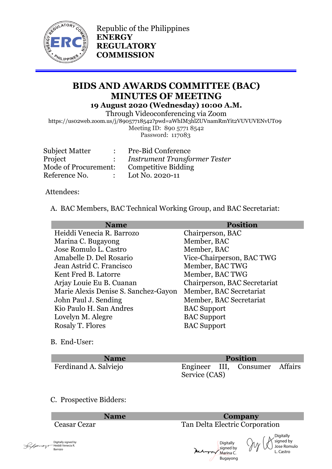

Republic of the Philippines **ENERGY REGULATORY COMMISSION**

# **BIDS AND AWARDS COMMITTEE (BAC) MINUTES OF MEETING 19 August 2020 (Wednesday) 10:00 A.M.**

Through Videoconferencing via Zoom https://us02web.zoom.us/j/89057718542?pwd=aWhIM3hlZUVnamRmYit2VUVUVENvUT09

Meeting ID: 890 5771 8542 Password: 117083

| Subject Matter       | <b>Pre-Bid Conference</b>            |
|----------------------|--------------------------------------|
| Project              | <b>Instrument Transformer Tester</b> |
| Mode of Procurement: | <b>Competitive Bidding</b>           |
| Reference No.        | Lot No. 2020-11                      |
|                      |                                      |

Attendees:

A. BAC Members, BAC Technical Working Group, and BAC Secretariat:

| <b>Name</b>                          | Position                     |
|--------------------------------------|------------------------------|
| Heiddi Venecia R. Barrozo            | Chairperson, BAC             |
| Marina C. Bugayong                   | Member, BAC                  |
| Jose Romulo L. Castro                | Member, BAC                  |
| Amabelle D. Del Rosario              | Vice-Chairperson, BAC TWG    |
| Jean Astrid C. Francisco             | Member, BAC TWG              |
| Kent Fred B. Latorre                 | Member, BAC TWG              |
| Arjay Louie Eu B. Cuanan             | Chairperson, BAC Secretariat |
| Marie Alexis Denise S. Sanchez-Gayon | Member, BAC Secretariat      |
| John Paul J. Sending                 | Member, BAC Secretariat      |
| Kio Paulo H. San Andres              | <b>BAC</b> Support           |
| Lovelyn M. Alegre                    | <b>BAC</b> Support           |
| Rosaly T. Flores                     | <b>BAC</b> Support           |

B. End-User:

| <b>Name</b>           | <b>Position</b> |  |                                |  |
|-----------------------|-----------------|--|--------------------------------|--|
| Ferdinand A. Salviejo | Service (CAS)   |  | Engineer III, Consumer Affairs |  |

### C. Prospective Bidders:

| Digitally signed by<br>Sunday Support Heiddi Venecia R.<br>Barrozo |
|--------------------------------------------------------------------|
|                                                                    |
|                                                                    |

### **Name Company** Ceasar Cezar Tan Delta Electric Corporation

Digitally signed by Jose Romulo L. Castro

Digitally signed by Marina C. Bugayong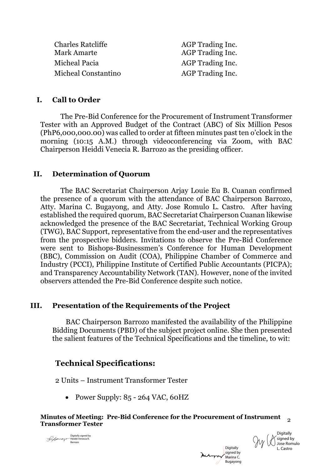Charles Ratcliffe AGP Trading Inc. Mark Amarte AGP Trading Inc. Micheal Pacia and AGP Trading Inc. Micheal Constantino AGP Trading Inc.

#### **I. Call to Order**

The Pre-Bid Conference for the Procurement of Instrument Transformer Tester with an Approved Budget of the Contract (ABC) of Six Million Pesos (PhP6,000,000.00) was called to order at fifteen minutes past ten o'clock in the morning (10:15 A.M.) through videoconferencing via Zoom, with BAC Chairperson Heiddi Venecia R. Barrozo as the presiding officer.

### **II. Determination of Quorum**

The BAC Secretariat Chairperson Arjay Louie Eu B. Cuanan confirmed the presence of a quorum with the attendance of BAC Chairperson Barrozo, Atty. Marina C. Bugayong, and Atty. Jose Romulo L. Castro. After having established the required quorum, BAC Secretariat Chairperson Cuanan likewise acknowledged the presence of the BAC Secretariat, Technical Working Group (TWG), BAC Support, representative from the end-user and the representatives from the prospective bidders. Invitations to observe the Pre-Bid Conference were sent to Bishops-Businessmen's Conference for Human Development (BBC), Commission on Audit (COA), Philippine Chamber of Commerce and Industry (PCCI), Philippine Institute of Certified Public Accountants (PICPA); and Transparency Accountability Network (TAN). However, none of the invited observers attended the Pre-Bid Conference despite such notice.

### **III. Presentation of the Requirements of the Project**

 BAC Chairperson Barrozo manifested the availability of the Philippine Bidding Documents (PBD) of the subject project online. She then presented the salient features of the Technical Specifications and the timeline, to wit:

### **Technical Specifications:**

2 Units – Instrument Transformer Tester

• Power Supply: 85 - 264 VAC, 60HZ

# **Minutes of Meeting: Pre-Bid Conference for the Procurement of Instrument Transformer Tester** <sup>2</sup>

Digitally signed by Heiddi Venecia R. Barrozo

**Digitally** signed by Marina C. Bugayong **Digitally** signed by Jose Romulo

L. Castro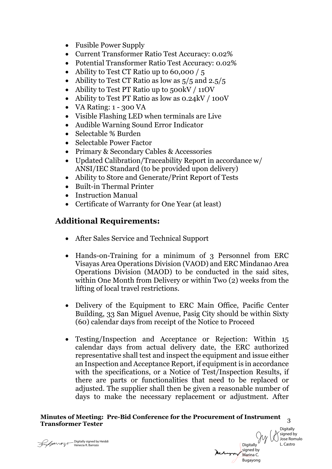- Fusible Power Supply
- Current Transformer Ratio Test Accuracy: 0.02%
- Potential Transformer Ratio Test Accuracy: 0.02%
- Ability to Test CT Ratio up to 60,000 / 5
- Ability to Test CT Ratio as low as  $5/5$  and  $2.5/5$
- Ability to Test PT Ratio up to 500kV / 11OV
- Ability to Test PT Ratio as low as 0.24kV / 100V
- VA Rating:  $1 300$  VA
- Visible Flashing LED when terminals are Live
- Audible Warning Sound Error Indicator
- Selectable % Burden
- Selectable Power Factor
- Primary & Secondary Cables & Accessories
- Updated Calibration/Traceability Report in accordance w/ ANSI/IEC Standard (to be provided upon delivery)
- Ability to Store and Generate/Print Report of Tests
- Built-in Thermal Printer
- Instruction Manual
- Certificate of Warranty for One Year (at least)

## **Additional Requirements:**

- After Sales Service and Technical Support
- Hands-on-Training for a minimum of 3 Personnel from ERC Visayas Area Operations Division (VAOD) and ERC Mindanao Area Operations Division (MAOD) to be conducted in the said sites, within One Month from Delivery or within Two (2) weeks from the lifting of local travel restrictions.
- Delivery of the Equipment to ERC Main Office, Pacific Center Building, 33 San Miguel Avenue, Pasig City should be within Sixty (60) calendar days from receipt of the Notice to Proceed
- Testing/Inspection and Acceptance or Rejection: Within 15 calendar days from actual delivery date, the ERC authorized representative shall test and inspect the equipment and issue either an Inspection and Acceptance Report, if equipment is in accordance with the specifications, or a Notice of Test/Inspection Results, if there are parts or functionalities that need to be replaced or adjusted. The supplier shall then be given a reasonable number of days to make the necessary replacement or adjustment. After

# **Minutes of Meeting: Pre-Bid Conference for the Procurement of Instrument Transformer Tester** <sup>3</sup>



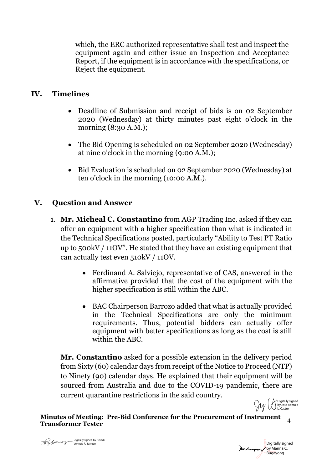which, the ERC authorized representative shall test and inspect the equipment again and either issue an Inspection and Acceptance Report, if the equipment is in accordance with the specifications, or Reject the equipment.

### **IV. Timelines**

- Deadline of Submission and receipt of bids is on 02 September 2020 (Wednesday) at thirty minutes past eight o'clock in the morning (8:30 A.M.);
- The Bid Opening is scheduled on 02 September 2020 (Wednesday) at nine o'clock in the morning (9:00 A.M.);
- Bid Evaluation is scheduled on 02 September 2020 (Wednesday) at ten o'clock in the morning (10:00 A.M.).

# **V. Question and Answer**

- **1. Mr. Micheal C. Constantino** from AGP Trading Inc. asked if they can offer an equipment with a higher specification than what is indicated in the Technical Specifications posted, particularly "Ability to Test PT Ratio up to 500kV / 11OV". He stated that they have an existing equipment that can actually test even 510kV / 11OV.
	- Ferdinand A. Salviejo, representative of CAS, answered in the affirmative provided that the cost of the equipment with the higher specification is still within the ABC.
	- BAC Chairperson Barrozo added that what is actually provided in the Technical Specifications are only the minimum requirements. Thus, potential bidders can actually offer equipment with better specifications as long as the cost is still within the ABC.

**Mr. Constantino** asked for a possible extension in the delivery period from Sixty (60) calendar days from receipt of the Notice to Proceed (NTP) to Ninety (90) calendar days. He explained that their equipment will be sourced from Australia and due to the COVID-19 pandemic, there are current quarantine restrictions in the said country. Digitally signed

**Minutes of Meeting: Pre-Bid Conference for the Procurement of Instrument Transformer Tester** <sup>4</sup>

by Jose Romulo L. Castro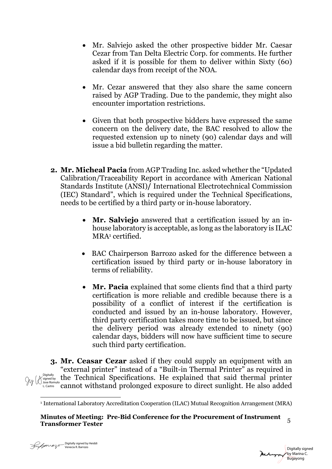- Mr. Salviejo asked the other prospective bidder Mr. Caesar Cezar from Tan Delta Electric Corp. for comments. He further asked if it is possible for them to deliver within Sixty (60) calendar days from receipt of the NOA.
- Mr. Cezar answered that they also share the same concern raised by AGP Trading. Due to the pandemic, they might also encounter importation restrictions.
- Given that both prospective bidders have expressed the same concern on the delivery date, the BAC resolved to allow the requested extension up to ninety (90) calendar days and will issue a bid bulletin regarding the matter.
- **2. Mr. Micheal Pacia** from AGP Trading Inc. asked whether the "Updated Calibration/Traceability Report in accordance with American National Standards Institute (ANSI)**/** International Electrotechnical Commission (IEC) Standard", which is required under the Technical Specifications, needs to be certified by a third party or in-house laboratory.
	- **Mr. Salviejo** answered that a certification issued by an inhouse laboratory is acceptable, as long as the laboratory is ILAC MRA1 certified.
	- BAC Chairperson Barrozo asked for the difference between a certification issued by third party or in-house laboratory in terms of reliability.
	- **Mr. Pacia** explained that some clients find that a third party certification is more reliable and credible because there is a possibility of a conflict of interest if the certification is conducted and issued by an in-house laboratory. However, third party certification takes more time to be issued, but since the delivery period was already extended to ninety (90) calendar days, bidders will now have sufficient time to secure such third party certification.

**3. Mr. Ceasar Cezar** asked if they could supply an equipment with an "external printer" instead of a "Built-in Thermal Printer" as required in  $P_{\text{displent}}$  the Technical Specifications. He explained that said thermal printer L.Castro<sup>nnulo</sup> cannot withstand prolonged exposure to direct sunlight. He also added

Digitally signed by Marina C.<br>Bugayong Digitally signed by Heiddi<br>Venecia R. Barrozo<br>Bugayong Bugayong Bugayong

<sup>1</sup> International Laboratory Accreditation Cooperation (ILAC) Mutual Recognition Arrangement (MRA)

**Minutes of Meeting: Pre-Bid Conference for the Procurement of Instrument Transformer Tester** <sup>5</sup>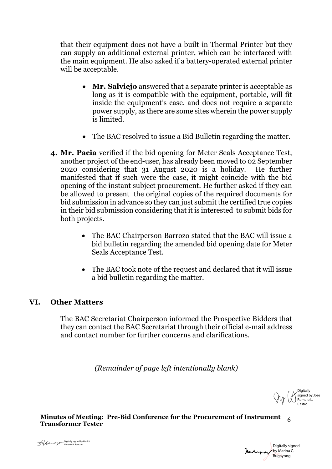that their equipment does not have a built-in Thermal Printer but they can supply an additional external printer, which can be interfaced with the main equipment. He also asked if a battery-operated external printer will be acceptable.

- **Mr. Salviejo** answered that a separate printer is acceptable as long as it is compatible with the equipment, portable, will fit inside the equipment's case, and does not require a separate power supply, as there are some sites wherein the power supply is limited.
- The BAC resolved to issue a Bid Bulletin regarding the matter.
- **4. Mr. Pacia** verified if the bid opening for Meter Seals Acceptance Test, another project of the end-user, has already been moved to 02 September 2020 considering that 31 August 2020 is a holiday. He further manifested that if such were the case, it might coincide with the bid opening of the instant subject procurement. He further asked if they can be allowed to present the original copies of the required documents for bid submission in advance so they can just submit the certified true copies in their bid submission considering that it is interested to submit bids for both projects.
	- The BAC Chairperson Barrozo stated that the BAC will issue a bid bulletin regarding the amended bid opening date for Meter Seals Acceptance Test.
	- The BAC took note of the request and declared that it will issue a bid bulletin regarding the matter.

### **VI. Other Matters**

The BAC Secretariat Chairperson informed the Prospective Bidders that they can contact the BAC Secretariat through their official e-mail address and contact number for further concerns and clarifications.

*(Remainder of page left intentionally blank)*

**Digitally** signed by Jose Romulo L. Castro

**Minutes of Meeting: Pre-Bid Conference for the Procurement of Instrument Transformer Tester** <sup>6</sup>



Sunday Stranger - Digitally signed by Heiddi<br>Venecia R. Barrozo